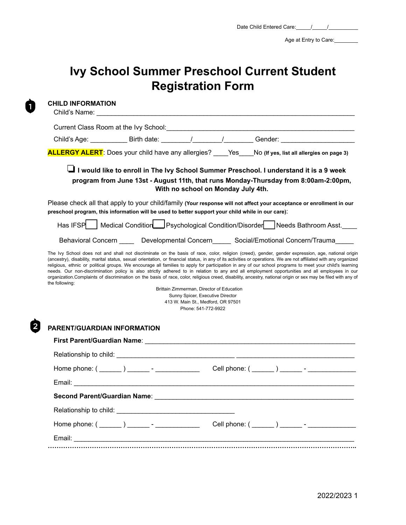Age at Entry to Care:

# **Ivy School Summer Preschool Current Student Registration Form**

Ò

|                                                                                                                                                                                                                                      |  |                                                         |                                                                                 | Child's Age: _______________ Birth date: _________/_________/___________Gender: ____________________                                                                                                                                                                                                                                                                                                                                                                                                                                                                                                                                            |  |
|--------------------------------------------------------------------------------------------------------------------------------------------------------------------------------------------------------------------------------------|--|---------------------------------------------------------|---------------------------------------------------------------------------------|-------------------------------------------------------------------------------------------------------------------------------------------------------------------------------------------------------------------------------------------------------------------------------------------------------------------------------------------------------------------------------------------------------------------------------------------------------------------------------------------------------------------------------------------------------------------------------------------------------------------------------------------------|--|
|                                                                                                                                                                                                                                      |  |                                                         |                                                                                 | <b>ALLERGY ALERT</b> : Does your child have any allergies? ____Yes___No (If yes, list all allergies on page 3)                                                                                                                                                                                                                                                                                                                                                                                                                                                                                                                                  |  |
|                                                                                                                                                                                                                                      |  |                                                         | With no school on Monday July 4th.                                              | I would like to enroll in The Ivy School Summer Preschool. I understand it is a 9 week<br>program from June 13st - August 11th, that runs Monday-Thursday from 8:00am-2:00pm,                                                                                                                                                                                                                                                                                                                                                                                                                                                                   |  |
| preschool program, this information will be used to better support your child while in our care).                                                                                                                                    |  |                                                         |                                                                                 | Please check all that apply to your child/family (Your response will not affect your acceptance or enrollment in our                                                                                                                                                                                                                                                                                                                                                                                                                                                                                                                            |  |
|                                                                                                                                                                                                                                      |  |                                                         |                                                                                 | Has IFSP   Medical Condition   Psychological Condition/Disorder   Needs Bathroom Asst.                                                                                                                                                                                                                                                                                                                                                                                                                                                                                                                                                          |  |
|                                                                                                                                                                                                                                      |  |                                                         |                                                                                 | Behavioral Concern _____ Developmental Concern _____ Social/Emotional Concern/Trauma                                                                                                                                                                                                                                                                                                                                                                                                                                                                                                                                                            |  |
| the following:                                                                                                                                                                                                                       |  | Sunny Spicer, Executive Director<br>Phone: 541-772-9922 | Brittain Zimmerman, Director of Education<br>413 W. Main St., Medford, OR 97501 | (ancestry), disability, marital status, sexual orientation, or financial status, in any of its activities or operations. We are not affiliated with any organized<br>religious, ethnic or political groups. We encourage all families to apply for participation in any of our school programs to meet your child's learning<br>needs. Our non-discrimination policy is also strictly adhered to in relation to any and all employment opportunities and all employees in our<br>organization. Complaints of discrimination on the basis of race, color, religious creed, disability, ancestry, national origin or sex may be filed with any of |  |
| PARENT/GUARDIAN INFORMATION                                                                                                                                                                                                          |  |                                                         |                                                                                 |                                                                                                                                                                                                                                                                                                                                                                                                                                                                                                                                                                                                                                                 |  |
|                                                                                                                                                                                                                                      |  |                                                         |                                                                                 |                                                                                                                                                                                                                                                                                                                                                                                                                                                                                                                                                                                                                                                 |  |
|                                                                                                                                                                                                                                      |  |                                                         |                                                                                 |                                                                                                                                                                                                                                                                                                                                                                                                                                                                                                                                                                                                                                                 |  |
|                                                                                                                                                                                                                                      |  |                                                         |                                                                                 |                                                                                                                                                                                                                                                                                                                                                                                                                                                                                                                                                                                                                                                 |  |
| Email: <u>Andreas Andreas Andreas Andreas Andreas Andreas Andreas Andreas Andreas Andreas Andreas Andreas Andreas Andreas Andreas Andreas Andreas Andreas Andreas Andreas Andreas Andreas Andreas Andreas Andreas Andreas Andrea</u> |  |                                                         |                                                                                 |                                                                                                                                                                                                                                                                                                                                                                                                                                                                                                                                                                                                                                                 |  |
| Second Parent/Guardian Name:                                                                                                                                                                                                         |  |                                                         |                                                                                 |                                                                                                                                                                                                                                                                                                                                                                                                                                                                                                                                                                                                                                                 |  |
|                                                                                                                                                                                                                                      |  |                                                         |                                                                                 |                                                                                                                                                                                                                                                                                                                                                                                                                                                                                                                                                                                                                                                 |  |
|                                                                                                                                                                                                                                      |  |                                                         |                                                                                 | Cell phone: ( _______ ) _______ - ________________                                                                                                                                                                                                                                                                                                                                                                                                                                                                                                                                                                                              |  |
| Home phone: ( _______ ) _______ - ______________                                                                                                                                                                                     |  |                                                         |                                                                                 |                                                                                                                                                                                                                                                                                                                                                                                                                                                                                                                                                                                                                                                 |  |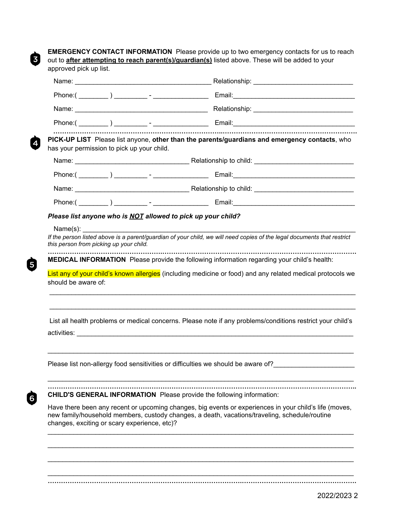0

4

6

Ò

**EMERGENCY CONTACT INFORMATION** Please provide up to two emergency contacts for us to reach out to **after attempting to reach parent(s)/guardian(s)** listed above. These will be added to your approved pick up list.

|                                                     | has your permission to pick up your child.                                   | PICK-UP LIST Please list anyone, other than the parents/guardians and emergency contacts, who                                                                                                           |
|-----------------------------------------------------|------------------------------------------------------------------------------|---------------------------------------------------------------------------------------------------------------------------------------------------------------------------------------------------------|
|                                                     |                                                                              |                                                                                                                                                                                                         |
|                                                     |                                                                              |                                                                                                                                                                                                         |
|                                                     |                                                                              |                                                                                                                                                                                                         |
|                                                     |                                                                              |                                                                                                                                                                                                         |
|                                                     | Please list anyone who is NOT allowed to pick up your child?                 |                                                                                                                                                                                                         |
| Name(s):<br>this person from picking up your child. |                                                                              | If the person listed above is a parent/guardian of your child, we will need copies of the legal documents that restrict                                                                                 |
| should be aware of:                                 |                                                                              | List any of your child's known allergies (including medicine or food) and any related medical protocols we                                                                                              |
|                                                     |                                                                              | List all health problems or medical concerns. Please note if any problems/conditions restrict your child's                                                                                              |
|                                                     |                                                                              | Please list non-allergy food sensitivities or difficulties we should be aware of?                                                                                                                       |
|                                                     | <b>CHILD'S GENERAL INFORMATION</b> Please provide the following information: |                                                                                                                                                                                                         |
|                                                     | changes, exciting or scary experience, etc)?                                 | Have there been any recent or upcoming changes, big events or experiences in your child's life (moves,<br>new family/household members, custody changes, a death, vacations/traveling, schedule/routine |
|                                                     |                                                                              |                                                                                                                                                                                                         |
|                                                     |                                                                              |                                                                                                                                                                                                         |
|                                                     |                                                                              |                                                                                                                                                                                                         |

\_\_\_\_\_\_\_\_\_\_\_\_\_\_\_\_\_\_\_\_\_\_\_\_\_\_\_\_\_\_\_\_\_\_\_\_\_\_\_\_\_\_\_\_\_\_\_\_\_\_\_\_\_\_\_\_\_\_\_\_\_\_\_\_\_\_\_\_\_\_\_\_\_\_\_\_\_\_\_\_\_\_\_ **…………………………………………………………………………….…………………………………………….**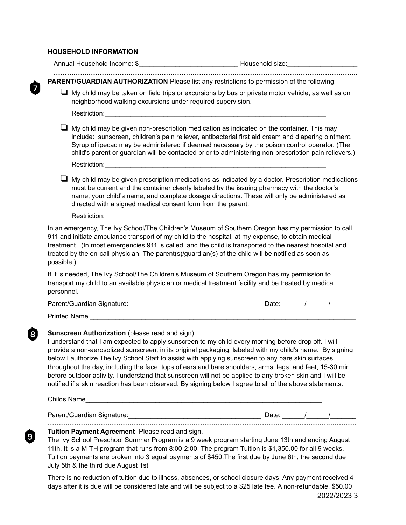#### **HOUSEHOLD INFORMATION**

0

 $\dot{Q}$ 

|                          | <b>PARENT/GUARDIAN AUTHORIZATION</b> Please list any restrictions to permission of the following:                                                                                                                                                                                                                                                                                                                                                                                                                                                                                                                                                                                                            |  |  |
|--------------------------|--------------------------------------------------------------------------------------------------------------------------------------------------------------------------------------------------------------------------------------------------------------------------------------------------------------------------------------------------------------------------------------------------------------------------------------------------------------------------------------------------------------------------------------------------------------------------------------------------------------------------------------------------------------------------------------------------------------|--|--|
|                          | $\Box$ My child may be taken on field trips or excursions by bus or private motor vehicle, as well as on<br>neighborhood walking excursions under required supervision.                                                                                                                                                                                                                                                                                                                                                                                                                                                                                                                                      |  |  |
|                          |                                                                                                                                                                                                                                                                                                                                                                                                                                                                                                                                                                                                                                                                                                              |  |  |
|                          | $\Box$ My child may be given non-prescription medication as indicated on the container. This may<br>include: sunscreen, children's pain reliever, antibacterial first aid cream and diapering ointment.<br>Syrup of ipecac may be administered if deemed necessary by the poison control operator. (The<br>child's parent or guardian will be contacted prior to administering non-prescription pain relievers.)                                                                                                                                                                                                                                                                                             |  |  |
|                          |                                                                                                                                                                                                                                                                                                                                                                                                                                                                                                                                                                                                                                                                                                              |  |  |
|                          | $\Box$ My child may be given prescription medications as indicated by a doctor. Prescription medications<br>must be current and the container clearly labeled by the issuing pharmacy with the doctor's<br>name, your child's name, and complete dosage directions. These will only be administered as<br>directed with a signed medical consent form from the parent.                                                                                                                                                                                                                                                                                                                                       |  |  |
|                          |                                                                                                                                                                                                                                                                                                                                                                                                                                                                                                                                                                                                                                                                                                              |  |  |
| possible.)<br>personnel. | treatment. (In most emergencies 911 is called, and the child is transported to the nearest hospital and<br>treated by the on-call physician. The parent(s)/guardian(s) of the child will be notified as soon as<br>If it is needed, The Ivy School/The Children's Museum of Southern Oregon has my permission to<br>transport my child to an available physician or medical treatment facility and be treated by medical                                                                                                                                                                                                                                                                                     |  |  |
|                          |                                                                                                                                                                                                                                                                                                                                                                                                                                                                                                                                                                                                                                                                                                              |  |  |
|                          | Printed Name                                                                                                                                                                                                                                                                                                                                                                                                                                                                                                                                                                                                                                                                                                 |  |  |
|                          | Sunscreen Authorization (please read and sign)<br>I understand that I am expected to apply sunscreen to my child every morning before drop off. I will<br>provide a non-aerosolized sunscreen, in its original packaging, labeled with my child's name. By signing<br>below I authorize The Ivy School Staff to assist with applying sunscreen to any bare skin surfaces<br>throughout the day, including the face, tops of ears and bare shoulders, arms, legs, and feet, 15-30 min<br>before outdoor activity. I understand that sunscreen will not be applied to any broken skin and I will be<br>notified if a skin reaction has been observed. By signing below I agree to all of the above statements. |  |  |
|                          | Childs Name                                                                                                                                                                                                                                                                                                                                                                                                                                                                                                                                                                                                                                                                                                  |  |  |
|                          |                                                                                                                                                                                                                                                                                                                                                                                                                                                                                                                                                                                                                                                                                                              |  |  |
|                          | Tuition Payment Agreement Please read and sign.<br>The Ivy School Preschool Summer Program is a 9 week program starting June 13th and ending August<br>11th. It is a M-TH program that runs from 8:00-2:00. The program Tuition is \$1,350.00 for all 9 weeks.<br>Tuition payments are broken into 3 equal payments of \$450. The first due by June 6th, the second due<br>July 5th & the third due August 1st                                                                                                                                                                                                                                                                                               |  |  |
|                          | There is no reduction of tuition due to illness, absences or school closure days. Any nayment received A                                                                                                                                                                                                                                                                                                                                                                                                                                                                                                                                                                                                     |  |  |

There is no reduction of tuition due to illness, absences, or school closure days. Any payment received 4 days after it is due will be considered late and will be subject to a \$25 late fee. A non-refundable, \$50.00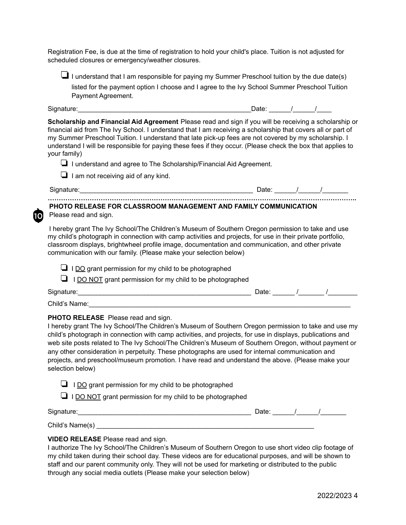Registration Fee, is due at the time of registration to hold your child's place. Tuition is not adjusted for scheduled closures or emergency/weather closures.

 $\Box$  I understand that I am responsible for paying my Summer Preschool tuition by the due date(s) listed for the payment option I choose and I agree to the Ivy School Summer Preschool Tuition Payment Agreement.

1ດເ

Signature:\_\_\_\_\_\_\_\_\_\_\_\_\_\_\_\_\_\_\_\_\_\_\_\_\_\_\_\_\_\_\_\_\_\_\_\_\_\_\_\_\_\_\_\_\_\_\_Date: \_\_\_\_\_\_/\_\_\_\_\_\_/\_\_\_\_

**Scholarship and Financial Aid Agreement** Please read and sign if you will be receiving a scholarship or financial aid from The Ivy School. I understand that I am receiving a scholarship that covers all or part of my Summer Preschool Tuition. I understand that late pick-up fees are not covered by my scholarship. I understand I will be responsible for paying these fees if they occur. (Please check the box that applies to your family)

❏ I understand and agree to The Scholarship/Financial Aid Agreement.

❏ I am not receiving aid of any kind.

### **PHOTO RELEASE FOR CLASSROOM MANAGEMENT AND FAMILY COMMUNICATION** Please read and sign.

I hereby grant The Ivy School/The Children's Museum of Southern Oregon permission to take and use my child's photograph in connection with camp activities and projects, for use in their private portfolio, classroom displays, brightwheel profile image, documentation and communication, and other private communication with our family. (Please make your selection below)

❏ I DO grant permission for my child to be photographed

❏ I DO NOT grant permission for my child to be photographed

| Signature:    | Jate <sup>.</sup> |  |
|---------------|-------------------|--|
| Child's Name: |                   |  |

#### **PHOTO RELEASE** Please read and sign.

I hereby grant The Ivy School/The Children's Museum of Southern Oregon permission to take and use my child's photograph in connection with camp activities, and projects, for use in displays, publications and web site posts related to The Ivy School/The Children's Museum of Southern Oregon, without payment or any other consideration in perpetuity. These photographs are used for internal communication and projects, and preschool/museum promotion. I have read and understand the above. (Please make your selection below)

 $\Box$  I DO grant permission for my child to be photographed

 $\Box$  I DO NOT grant permission for my child to be photographed

Signature:\_\_\_\_\_\_\_\_\_\_\_\_\_\_\_\_\_\_\_\_\_\_\_\_\_\_\_\_\_\_\_\_\_\_\_\_\_\_\_\_\_\_\_\_\_\_\_ Date: \_\_\_\_\_\_/\_\_\_\_\_\_/\_\_\_\_\_\_\_

Child's Name(s)  $\blacksquare$ 

## **VIDEO RELEASE** Please read and sign.

I authorize The Ivy School/The Children's Museum of Southern Oregon to use short video clip footage of my child taken during their school day. These videos are for educational purposes, and will be shown to staff and our parent community only. They will not be used for marketing or distributed to the public through any social media outlets (Please make your selection below)